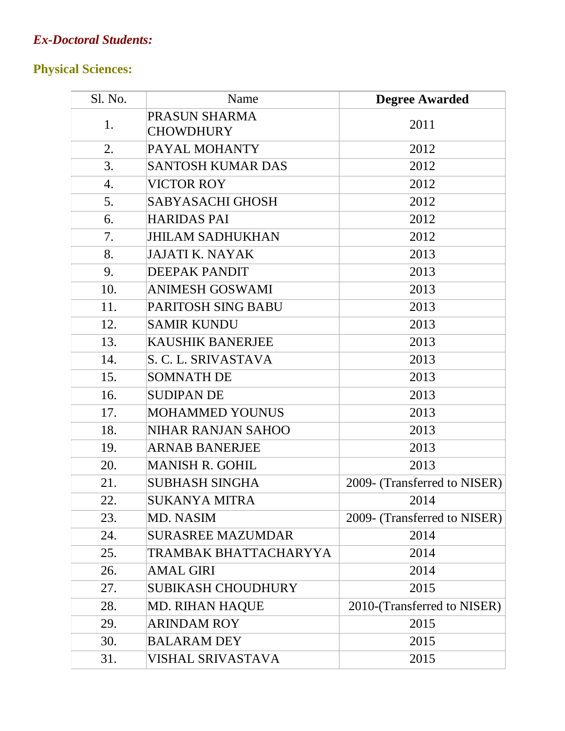## *Ex-Doctoral Students:*

## **Physical Sciences:**

| Sl. No. | Name                              | <b>Degree Awarded</b>        |
|---------|-----------------------------------|------------------------------|
| 1.      | PRASUN SHARMA<br><b>CHOWDHURY</b> | 2011                         |
| 2.      | PAYAL MOHANTY                     | 2012                         |
| 3.      | <b>SANTOSH KUMAR DAS</b>          | 2012                         |
| 4.      | <b>VICTOR ROY</b>                 | 2012                         |
| 5.      | <b>SABYASACHI GHOSH</b>           | 2012                         |
| 6.      | <b>HARIDAS PAI</b>                | 2012                         |
| 7.      | <b>JHILAM SADHUKHAN</b>           | 2012                         |
| 8.      | <b>JAJATI K. NAYAK</b>            | 2013                         |
| 9.      | <b>DEEPAK PANDIT</b>              | 2013                         |
| 10.     | <b>ANIMESH GOSWAMI</b>            | 2013                         |
| 11.     | PARITOSH SING BABU                | 2013                         |
| 12.     | <b>SAMIR KUNDU</b>                | 2013                         |
| 13.     | <b>KAUSHIK BANERJEE</b>           | 2013                         |
| 14.     | S. C. L. SRIVASTAVA               | 2013                         |
| 15.     | <b>SOMNATH DE</b>                 | 2013                         |
| 16.     | <b>SUDIPAN DE</b>                 | 2013                         |
| 17.     | <b>MOHAMMED YOUNUS</b>            | 2013                         |
| 18.     | NIHAR RANJAN SAHOO                | 2013                         |
| 19.     | <b>ARNAB BANERJEE</b>             | 2013                         |
| 20.     | <b>MANISH R. GOHIL</b>            | 2013                         |
| 21.     | <b>SUBHASH SINGHA</b>             | 2009- (Transferred to NISER) |
| 22.     | SUKANYA MITRA                     | 2014                         |
| 23.     | <b>MD. NASIM</b>                  | 2009- (Transferred to NISER) |
| 24.     | <b>SURASREE MAZUMDAR</b>          | 2014                         |
| 25.     | TRAMBAK BHATTACHARYYA             | 2014                         |
| 26.     | <b>AMAL GIRI</b>                  | 2014                         |
| 27.     | <b>SUBIKASH CHOUDHURY</b>         | 2015                         |
| 28.     | <b>MD. RIHAN HAQUE</b>            | 2010-(Transferred to NISER)  |
| 29.     | <b>ARINDAM ROY</b>                | 2015                         |
| 30.     | <b>BALARAM DEY</b>                | 2015                         |
| 31.     | <b>VISHAL SRIVASTAVA</b>          | 2015                         |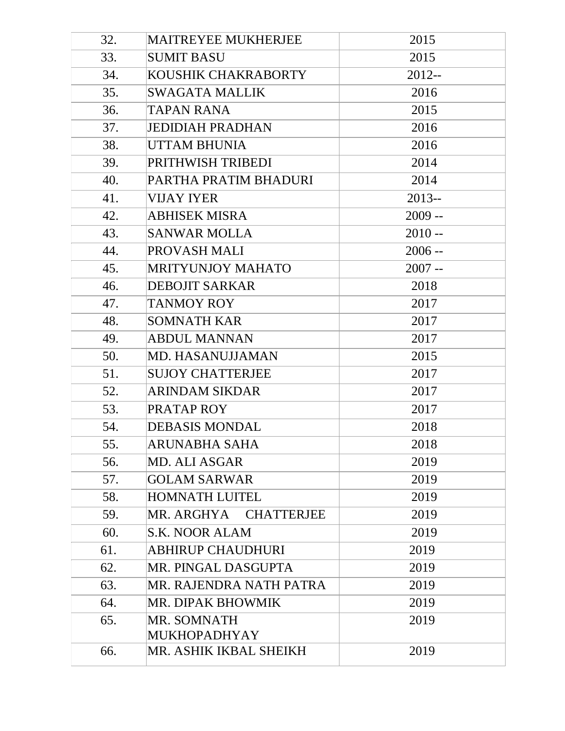| 32. | MAITREYEE MUKHERJEE             | 2015     |
|-----|---------------------------------|----------|
| 33. | <b>SUMIT BASU</b>               | 2015     |
| 34. | KOUSHIK CHAKRABORTY             | $2012 -$ |
| 35. | <b>SWAGATA MALLIK</b>           | 2016     |
| 36. | <b>TAPAN RANA</b>               | 2015     |
| 37. | <b>JEDIDIAH PRADHAN</b>         | 2016     |
| 38. | <b>UTTAM BHUNIA</b>             | 2016     |
| 39. | PRITHWISH TRIBEDI               | 2014     |
| 40. | PARTHA PRATIM BHADURI           | 2014     |
| 41. | <b>VIJAY IYER</b>               | $2013 -$ |
| 42. | <b>ABHISEK MISRA</b>            | $2009 -$ |
| 43. | <b>SANWAR MOLLA</b>             | $2010 -$ |
| 44. | PROVASH MALI                    | $2006 -$ |
| 45. | <b>MRITYUNJOY MAHATO</b>        | $2007 -$ |
| 46. | <b>DEBOJIT SARKAR</b>           | 2018     |
| 47. | <b>TANMOY ROY</b>               | 2017     |
| 48. | <b>SOMNATH KAR</b>              | 2017     |
| 49. | <b>ABDUL MANNAN</b>             | 2017     |
| 50. | MD. HASANUJJAMAN                | 2015     |
| 51. | <b>SUJOY CHATTERJEE</b>         | 2017     |
| 52. | <b>ARINDAM SIKDAR</b>           | 2017     |
| 53. | PRATAP ROY                      | 2017     |
| 54. | <b>DEBASIS MONDAL</b>           | 2018     |
| 55. | ARUNABHA SAHA                   | 2018     |
| 56. | <b>MD. ALI ASGAR</b>            | 2019     |
| 57. | <b>GOLAM SARWAR</b>             | 2019     |
| 58. | <b>HOMNATH LUITEL</b>           | 2019     |
| 59. | MR. ARGHYA<br><b>CHATTERJEE</b> | 2019     |
| 60. | <b>S.K. NOOR ALAM</b>           | 2019     |
| 61. | <b>ABHIRUP CHAUDHURI</b>        | 2019     |
| 62. | MR. PINGAL DASGUPTA             | 2019     |
| 63. | MR. RAJENDRA NATH PATRA         | 2019     |
| 64. | MR. DIPAK BHOWMIK               | 2019     |
| 65. | MR. SOMNATH                     | 2019     |
|     | <b>MUKHOPADHYAY</b>             |          |
| 66. | MR. ASHIK IKBAL SHEIKH          | 2019     |